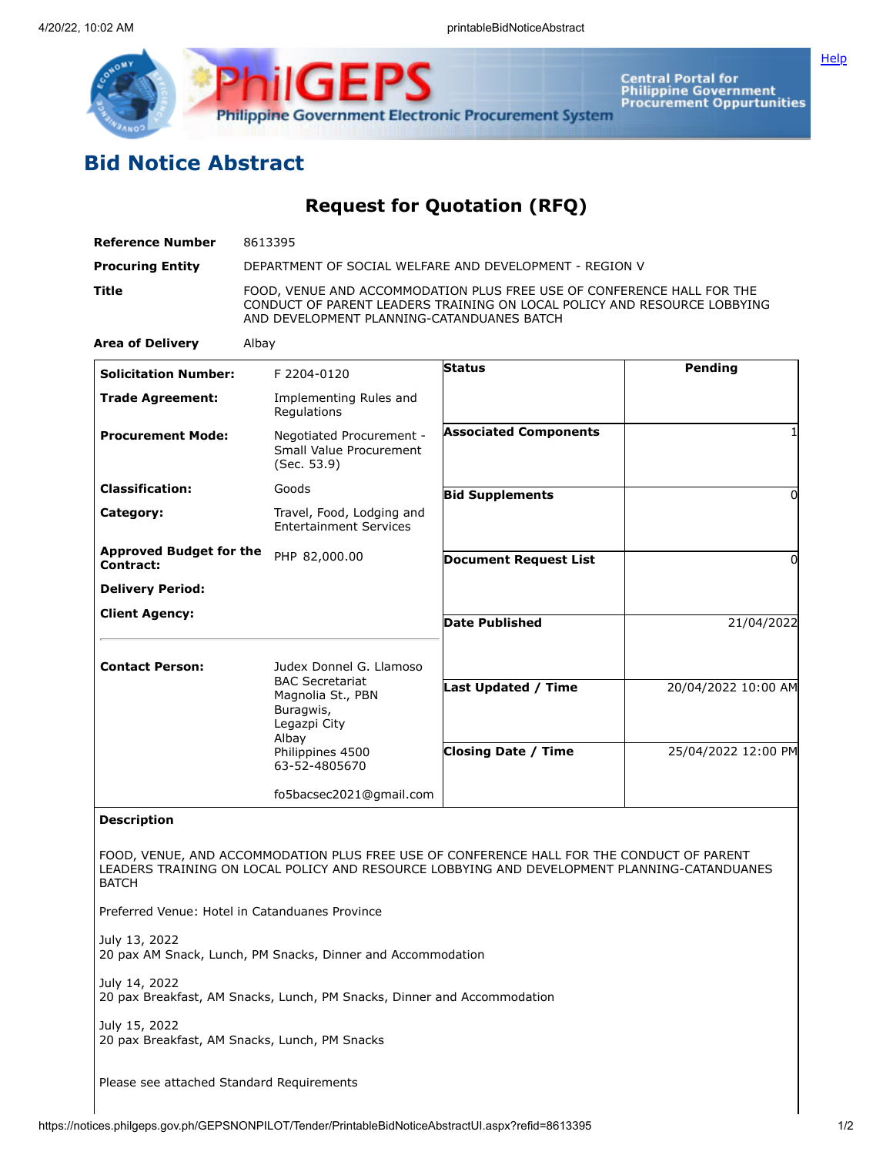

**Central Portal for<br>Philippine Government<br>Procurement Oppurtunities** 

## **Bid Notice Abstract**

**Request for Quotation (RFQ)**

| 8613395                                                                                                                                                                     |                              |                                                                                                                                                                                                                                                                                                                                                                                                                                                                                                                                                                                                                                                                                                        |
|-----------------------------------------------------------------------------------------------------------------------------------------------------------------------------|------------------------------|--------------------------------------------------------------------------------------------------------------------------------------------------------------------------------------------------------------------------------------------------------------------------------------------------------------------------------------------------------------------------------------------------------------------------------------------------------------------------------------------------------------------------------------------------------------------------------------------------------------------------------------------------------------------------------------------------------|
| DEPARTMENT OF SOCIAL WELFARE AND DEVELOPMENT - REGION V                                                                                                                     |                              |                                                                                                                                                                                                                                                                                                                                                                                                                                                                                                                                                                                                                                                                                                        |
|                                                                                                                                                                             |                              |                                                                                                                                                                                                                                                                                                                                                                                                                                                                                                                                                                                                                                                                                                        |
| Albay                                                                                                                                                                       |                              |                                                                                                                                                                                                                                                                                                                                                                                                                                                                                                                                                                                                                                                                                                        |
| F 2204-0120                                                                                                                                                                 | <b>Status</b>                | Pending                                                                                                                                                                                                                                                                                                                                                                                                                                                                                                                                                                                                                                                                                                |
| Implementing Rules and<br>Regulations                                                                                                                                       |                              |                                                                                                                                                                                                                                                                                                                                                                                                                                                                                                                                                                                                                                                                                                        |
| (Sec. 53.9)                                                                                                                                                                 | <b>Associated Components</b> |                                                                                                                                                                                                                                                                                                                                                                                                                                                                                                                                                                                                                                                                                                        |
| Goods                                                                                                                                                                       |                              | $\Omega$                                                                                                                                                                                                                                                                                                                                                                                                                                                                                                                                                                                                                                                                                               |
| <b>Entertainment Services</b>                                                                                                                                               |                              |                                                                                                                                                                                                                                                                                                                                                                                                                                                                                                                                                                                                                                                                                                        |
| <b>Approved Budget for the</b><br>PHP 82,000.00                                                                                                                             | <b>Document Request List</b> | 0                                                                                                                                                                                                                                                                                                                                                                                                                                                                                                                                                                                                                                                                                                      |
|                                                                                                                                                                             |                              |                                                                                                                                                                                                                                                                                                                                                                                                                                                                                                                                                                                                                                                                                                        |
|                                                                                                                                                                             | <b>Date Published</b>        | 21/04/2022                                                                                                                                                                                                                                                                                                                                                                                                                                                                                                                                                                                                                                                                                             |
|                                                                                                                                                                             |                              |                                                                                                                                                                                                                                                                                                                                                                                                                                                                                                                                                                                                                                                                                                        |
| <b>Contact Person:</b><br>Judex Donnel G. Llamoso<br><b>BAC Secretariat</b><br>Magnolia St., PBN<br>Buragwis,<br>Legazpi City<br>Albay<br>Philippines 4500<br>63-52-4805670 |                              |                                                                                                                                                                                                                                                                                                                                                                                                                                                                                                                                                                                                                                                                                                        |
|                                                                                                                                                                             |                              | 20/04/2022 10:00 AM                                                                                                                                                                                                                                                                                                                                                                                                                                                                                                                                                                                                                                                                                    |
|                                                                                                                                                                             | <b>Closing Date / Time</b>   | 25/04/2022 12:00 PM                                                                                                                                                                                                                                                                                                                                                                                                                                                                                                                                                                                                                                                                                    |
|                                                                                                                                                                             |                              |                                                                                                                                                                                                                                                                                                                                                                                                                                                                                                                                                                                                                                                                                                        |
|                                                                                                                                                                             |                              |                                                                                                                                                                                                                                                                                                                                                                                                                                                                                                                                                                                                                                                                                                        |
|                                                                                                                                                                             |                              |                                                                                                                                                                                                                                                                                                                                                                                                                                                                                                                                                                                                                                                                                                        |
| Preferred Venue: Hotel in Catanduanes Province                                                                                                                              |                              |                                                                                                                                                                                                                                                                                                                                                                                                                                                                                                                                                                                                                                                                                                        |
|                                                                                                                                                                             |                              |                                                                                                                                                                                                                                                                                                                                                                                                                                                                                                                                                                                                                                                                                                        |
|                                                                                                                                                                             |                              |                                                                                                                                                                                                                                                                                                                                                                                                                                                                                                                                                                                                                                                                                                        |
| 20 pax Breakfast, AM Snacks, Lunch, PM Snacks                                                                                                                               |                              |                                                                                                                                                                                                                                                                                                                                                                                                                                                                                                                                                                                                                                                                                                        |
|                                                                                                                                                                             |                              | FOOD, VENUE AND ACCOMMODATION PLUS FREE USE OF CONFERENCE HALL FOR THE<br>CONDUCT OF PARENT LEADERS TRAINING ON LOCAL POLICY AND RESOURCE LOBBYING<br>AND DEVELOPMENT PLANNING-CATANDUANES BATCH<br>Negotiated Procurement -<br>Small Value Procurement<br><b>Bid Supplements</b><br>Travel, Food, Lodging and<br>Last Updated / Time<br>fo5bacsec2021@gmail.com<br>FOOD, VENUE, AND ACCOMMODATION PLUS FREE USE OF CONFERENCE HALL FOR THE CONDUCT OF PARENT<br>LEADERS TRAINING ON LOCAL POLICY AND RESOURCE LOBBYING AND DEVELOPMENT PLANNING-CATANDUANES<br>20 pax AM Snack, Lunch, PM Snacks, Dinner and Accommodation<br>20 pax Breakfast, AM Snacks, Lunch, PM Snacks, Dinner and Accommodation |

**[Help](javascript:void(window.open()** 

Please see attached Standard Requirements